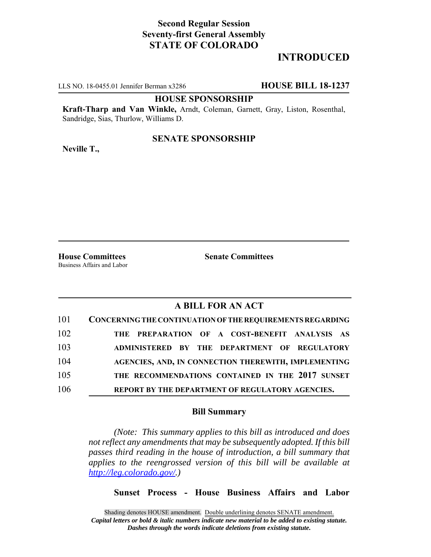# **Second Regular Session Seventy-first General Assembly STATE OF COLORADO**

# **INTRODUCED**

LLS NO. 18-0455.01 Jennifer Berman x3286 **HOUSE BILL 18-1237**

#### **HOUSE SPONSORSHIP**

**Kraft-Tharp and Van Winkle,** Arndt, Coleman, Garnett, Gray, Liston, Rosenthal, Sandridge, Sias, Thurlow, Williams D.

# **SENATE SPONSORSHIP**

**Neville T.,**

Business Affairs and Labor

**House Committees Senate Committees** 

### **A BILL FOR AN ACT**

| 101 | CONCERNING THE CONTINUATION OF THE REQUIREMENTS REGARDING |
|-----|-----------------------------------------------------------|
| 102 | THE PREPARATION OF A COST-BENEFIT ANALYSIS AS             |
| 103 | ADMINISTERED BY THE DEPARTMENT OF REGULATORY              |
| 104 | AGENCIES, AND, IN CONNECTION THEREWITH, IMPLEMENTING      |
| 105 | THE RECOMMENDATIONS CONTAINED IN THE 2017 SUNSET          |
| 106 | REPORT BY THE DEPARTMENT OF REGULATORY AGENCIES.          |

#### **Bill Summary**

*(Note: This summary applies to this bill as introduced and does not reflect any amendments that may be subsequently adopted. If this bill passes third reading in the house of introduction, a bill summary that applies to the reengrossed version of this bill will be available at http://leg.colorado.gov/.)*

**Sunset Process - House Business Affairs and Labor**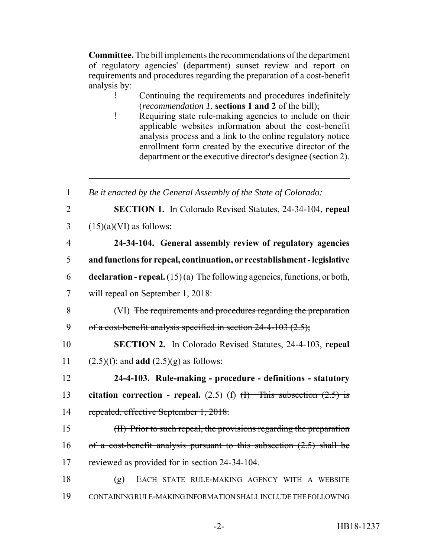**Committee.** The bill implements the recommendations of the department of regulatory agencies' (department) sunset review and report on requirements and procedures regarding the preparation of a cost-benefit analysis by:

! Continuing the requirements and procedures indefinitely (*recommendation 1*, **sections 1 and 2** of the bill);

! Requiring state rule-making agencies to include on their applicable websites information about the cost-benefit analysis process and a link to the online regulatory notice enrollment form created by the executive director of the department or the executive director's designee (section 2).

| $\mathbf{1}$   | Be it enacted by the General Assembly of the State of Colorado:                     |
|----------------|-------------------------------------------------------------------------------------|
| $\overline{2}$ | <b>SECTION 1.</b> In Colorado Revised Statutes, 24-34-104, repeal                   |
| 3              | $(15)(a)(VI)$ as follows:                                                           |
| $\overline{4}$ | 24-34-104. General assembly review of regulatory agencies                           |
| 5              | and functions for repeal, continuation, or reestablishment - legislative            |
| 6              | <b>declaration - repeal.</b> $(15)(a)$ The following agencies, functions, or both,  |
| $\overline{7}$ | will repeal on September 1, 2018:                                                   |
| 8              | (VI) The requirements and procedures regarding the preparation                      |
| 9              | of a cost-benefit analysis specified in section $24-4-103$ (2.5);                   |
| 10             | <b>SECTION 2.</b> In Colorado Revised Statutes, 24-4-103, repeal                    |
| 11             | $(2.5)(f)$ ; and <b>add</b> $(2.5)(g)$ as follows:                                  |
| 12             | 24-4-103. Rule-making - procedure - definitions - statutory                         |
| 13             | citation correction - repeal. $(2.5)$ (f) $\overline{H}$ This subsection $(2.5)$ is |
| 14             | repealed, effective September 1, 2018.                                              |
| 15             | (II) Prior to such repeal, the provisions regarding the preparation                 |
| 16             | of a cost-benefit analysis pursuant to this subsection $(2.5)$ shall be             |
| 17             | reviewed as provided for in section 24-34-104.                                      |
| 18             | (g)<br>EACH STATE RULE-MAKING AGENCY WITH A WEBSITE                                 |
| 19             | CONTAINING RULE-MAKING INFORMATION SHALL INCLUDE THE FOLLOWING                      |